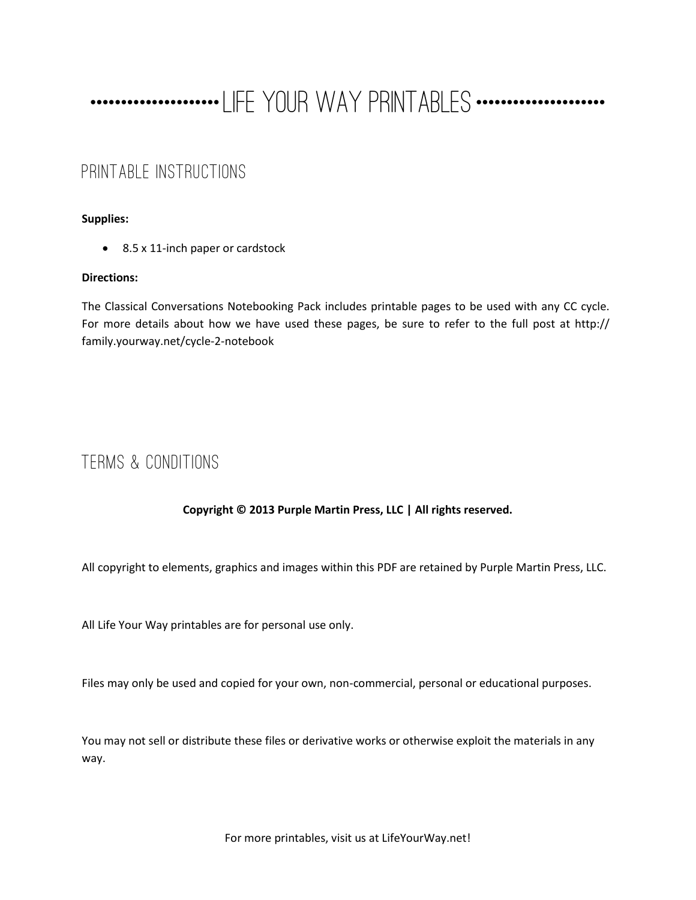## ----------------------LIFE YOUR WAY PRINTABLES ---------------------

## PRINTABLE INSTRUCTIONS

#### **Supplies:**

• 8.5 x 11-inch paper or cardstock

#### **Directions:**

The Classical Conversations Notebooking Pack includes printable pages to be used with any CC cycle. For more details about how we have used these pages, be sure to refer to the full post at http:// family.yourway.net/cycle-2-notebook

## TERMS & CONDITIONS

### **Copyright © 2013 Purple Martin Press, LLC | All rights reserved.**

All copyright to elements, graphics and images within this PDF are retained by Purple Martin Press, LLC.

All Life Your Way printables are for personal use only.

Files may only be used and copied for your own, non-commercial, personal or educational purposes.

You may not sell or distribute these files or derivative works or otherwise exploit the materials in any way.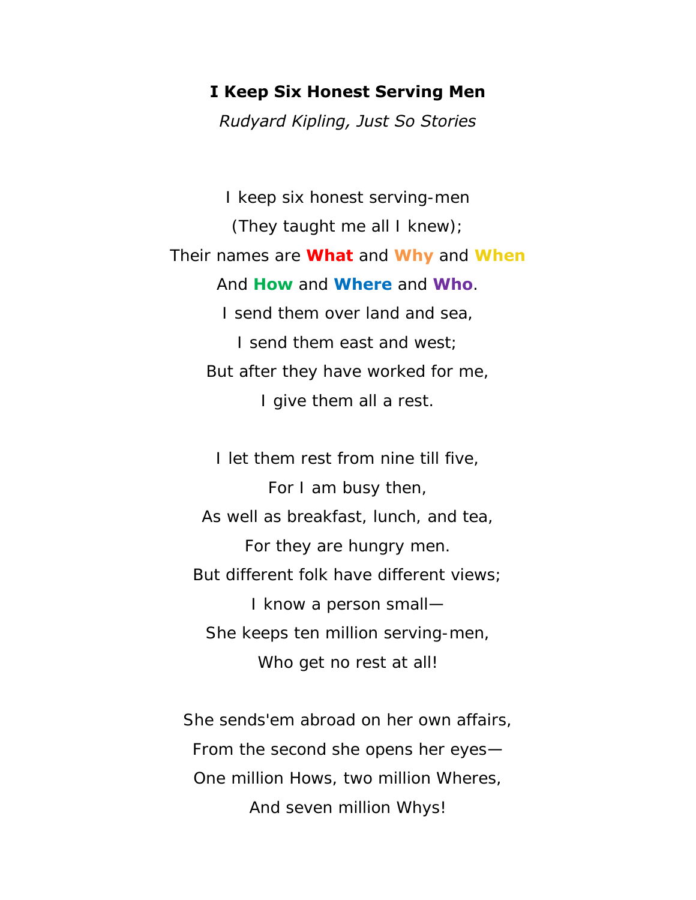### **I Keep Six Honest Serving Men**

*Rudyard Kipling, Just So Stories*

I keep six honest serving-men (They taught me all I knew); Their names are **What** and **Why** and **When** And **How** and **Where** and **Who**. I send them over land and sea, I send them east and west; But after they have worked for me, I give them all a rest.

I let them rest from nine till five, For I am busy then, As well as breakfast, lunch, and tea, For they are hungry men. But different folk have different views; I know a person small— She keeps ten million serving-men, Who get no rest at all!

She sends'em abroad on her own affairs, From the second she opens her eyes— One million Hows, two million Wheres, And seven million Whys!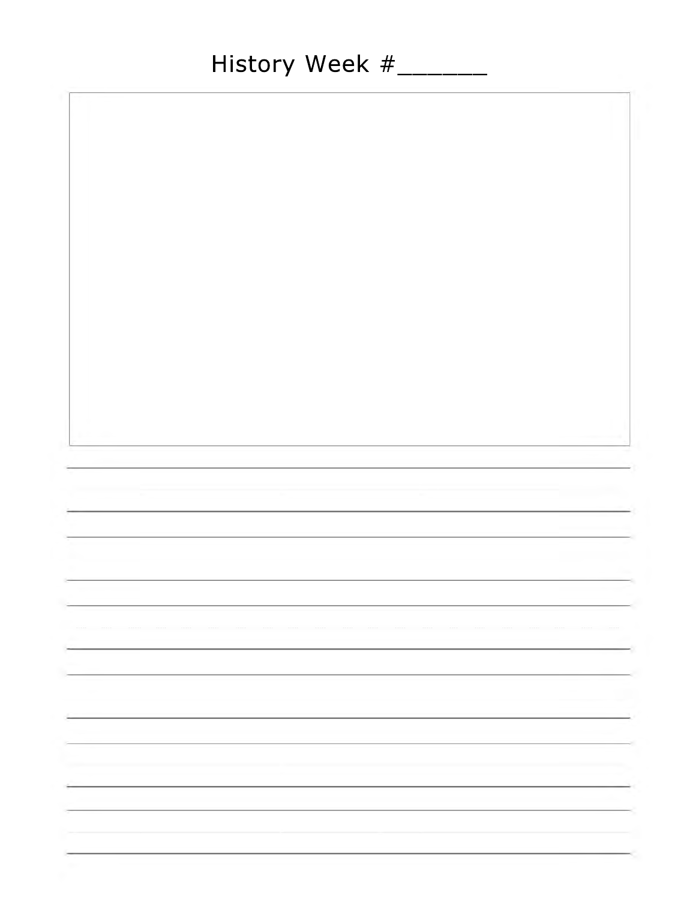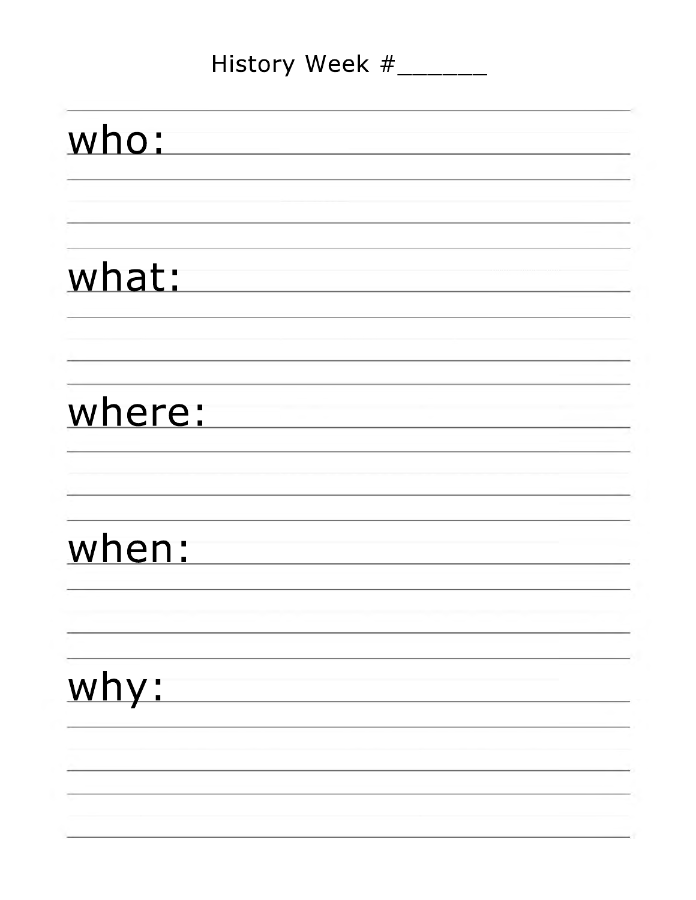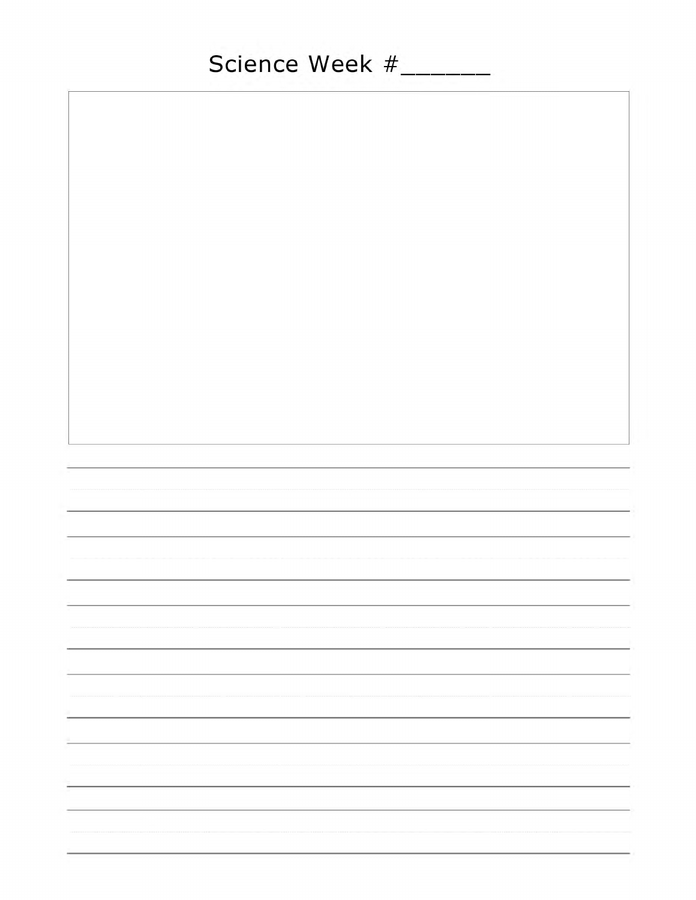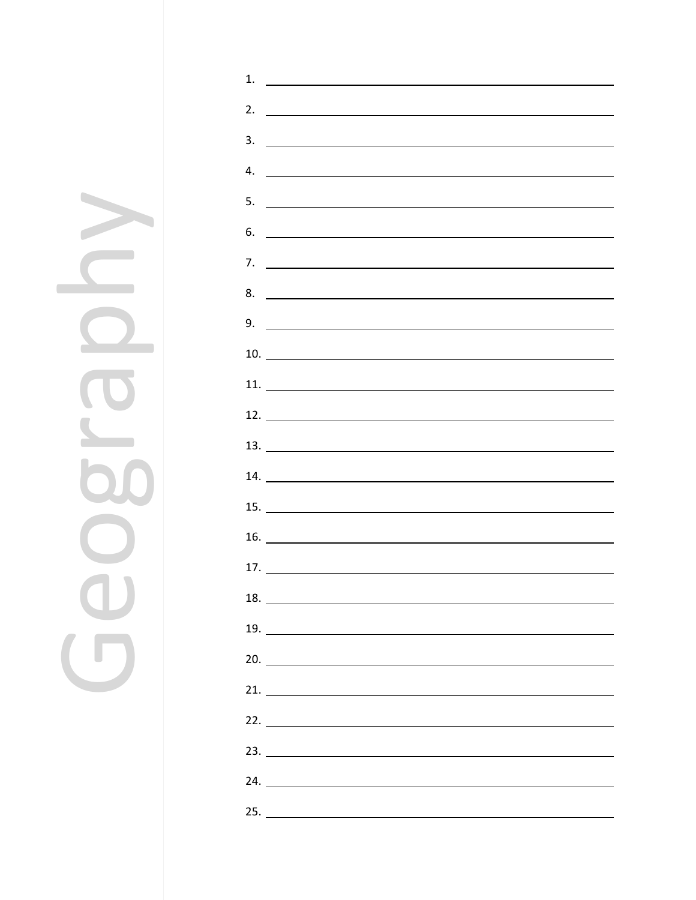Geography $\geq$  $\bigcirc$  $\bigcirc$  $\Box$ 

| 1.                             | <u> 1989 - Johann Harry Harry Harry Harry Harry Harry Harry Harry Harry Harry Harry Harry Harry Harry Harry Harry</u> |  |  |
|--------------------------------|-----------------------------------------------------------------------------------------------------------------------|--|--|
| 2.                             | <u> 1988 - Johann Barbara, marka a shekara ta 1989 - An tsara tsa 1989 - An tsara tsa 1989 - An tsara tsa 1989 - </u> |  |  |
| 3.                             | <u> Andreas Andreas Andreas Andreas Andreas Andreas Andreas Andreas Andreas Andreas Andreas Andreas Andreas Andr</u>  |  |  |
| 4.                             | <u> 1989 - Jan Barbara de Santo III e al Indonesia de la contrada de la contrada de la contrada de la contrada de</u> |  |  |
| 5.                             |                                                                                                                       |  |  |
|                                | <u> 1989 - Johann Harry Harry Harry Harry Harry Harry Harry Harry Harry Harry Harry Harry Harry Harry Harry Harry</u> |  |  |
| 6.                             | <u> 1989 - Andrea Stadt Britain, amerikansk politiker (</u>                                                           |  |  |
| 7.                             |                                                                                                                       |  |  |
| 8.                             | <u> Alexandria de la contrada de la contrada de la contrada de la contrada de la contrada de la contrada de la c</u>  |  |  |
| 9.                             |                                                                                                                       |  |  |
|                                |                                                                                                                       |  |  |
| $11.$ $\overline{\phantom{a}}$ |                                                                                                                       |  |  |
|                                |                                                                                                                       |  |  |
| 13.                            |                                                                                                                       |  |  |
|                                |                                                                                                                       |  |  |
|                                |                                                                                                                       |  |  |
|                                |                                                                                                                       |  |  |
| 16.                            | <u> 1989 - Johann Harry Harry Harry Harry Harry Harry Harry Harry Harry Harry Harry Harry Harry Harry Harry Harry</u> |  |  |
|                                |                                                                                                                       |  |  |
|                                |                                                                                                                       |  |  |
| 19.                            |                                                                                                                       |  |  |
| 20.                            |                                                                                                                       |  |  |
| 21.                            |                                                                                                                       |  |  |
|                                |                                                                                                                       |  |  |
|                                |                                                                                                                       |  |  |
|                                |                                                                                                                       |  |  |
| 24.                            |                                                                                                                       |  |  |
|                                |                                                                                                                       |  |  |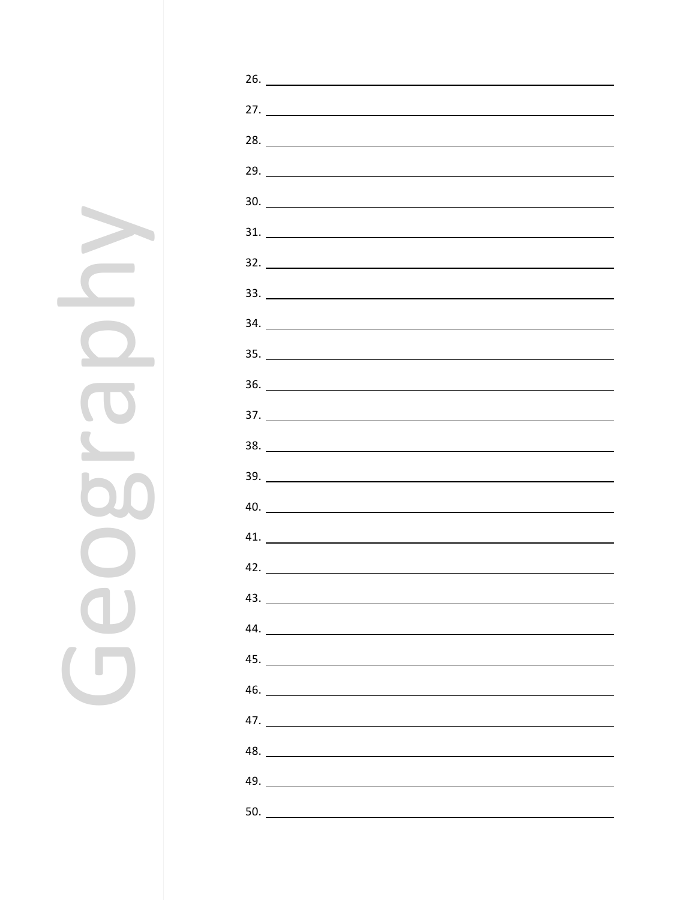Geography $\overline{\Omega}$  $\bigcirc$  $\overline{\mathbf{0}}$  $\Box$ 

|     | $31.$ $\overline{\phantom{a}}$ |  |
|-----|--------------------------------|--|
|     |                                |  |
|     | $33.$ $\overline{\phantom{a}}$ |  |
|     | 34.                            |  |
|     |                                |  |
|     | 36.                            |  |
|     |                                |  |
|     | 38.                            |  |
|     | 39.                            |  |
|     | 40.                            |  |
|     | 41.                            |  |
|     | 42.                            |  |
|     | 43.                            |  |
|     |                                |  |
|     |                                |  |
|     |                                |  |
|     |                                |  |
|     | $\frac{48.}{\sqrt{10}}$        |  |
|     |                                |  |
| 50. |                                |  |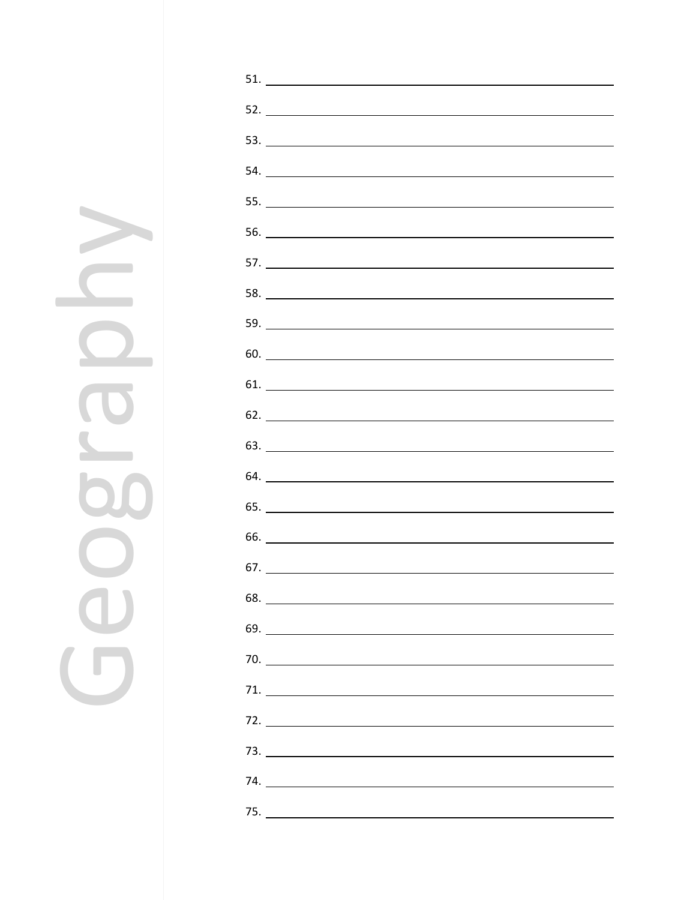Geography $\Omega$  $\bigcirc$  $\breve{\mathbf{0}}$  $\overline{\mathbf{G}}$ 

| $60.$ $\overline{\phantom{a}}$ |  |
|--------------------------------|--|
| $61.$ $\overline{\phantom{a}}$ |  |
| 62.                            |  |
|                                |  |
|                                |  |
|                                |  |
| 66.                            |  |
|                                |  |
|                                |  |
|                                |  |
|                                |  |
|                                |  |
|                                |  |
|                                |  |
|                                |  |
|                                |  |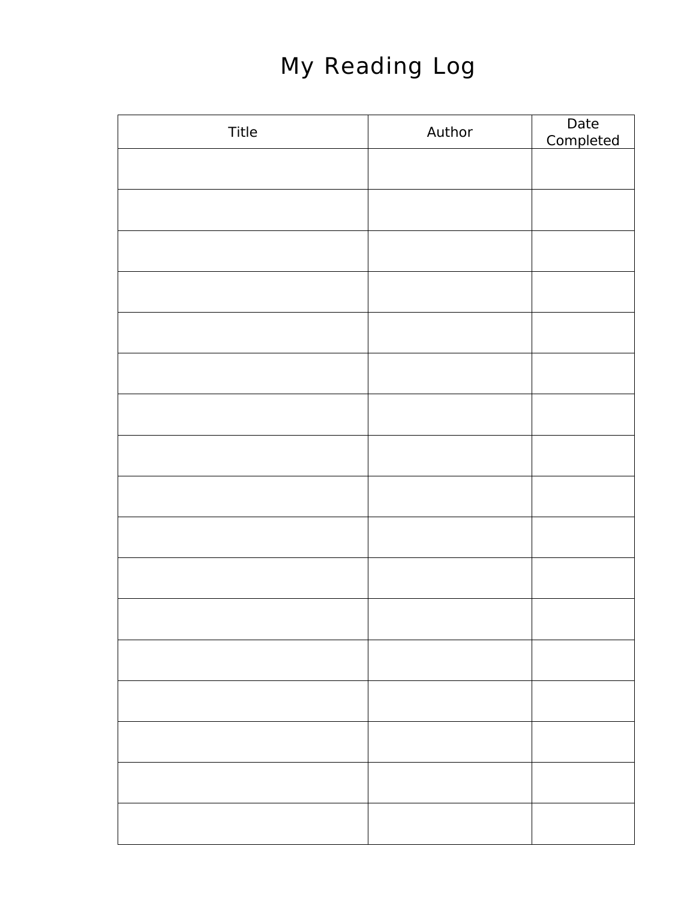# My Reading Log

| Title | Author | Date<br>Completed |
|-------|--------|-------------------|
|       |        |                   |
|       |        |                   |
|       |        |                   |
|       |        |                   |
|       |        |                   |
|       |        |                   |
|       |        |                   |
|       |        |                   |
|       |        |                   |
|       |        |                   |
|       |        |                   |
|       |        |                   |
|       |        |                   |
|       |        |                   |
|       |        |                   |
|       |        |                   |
|       |        |                   |
|       |        |                   |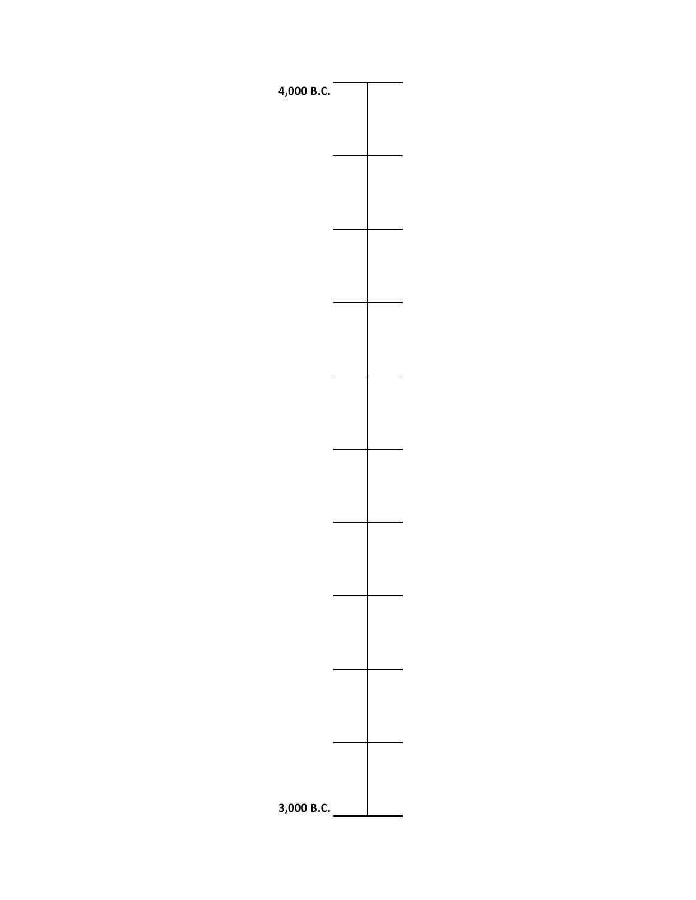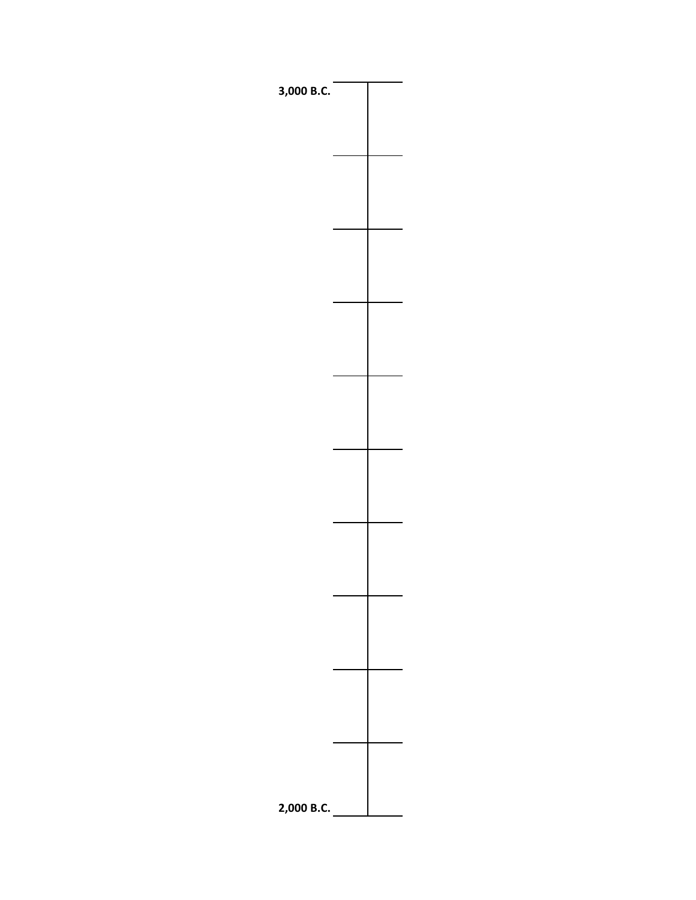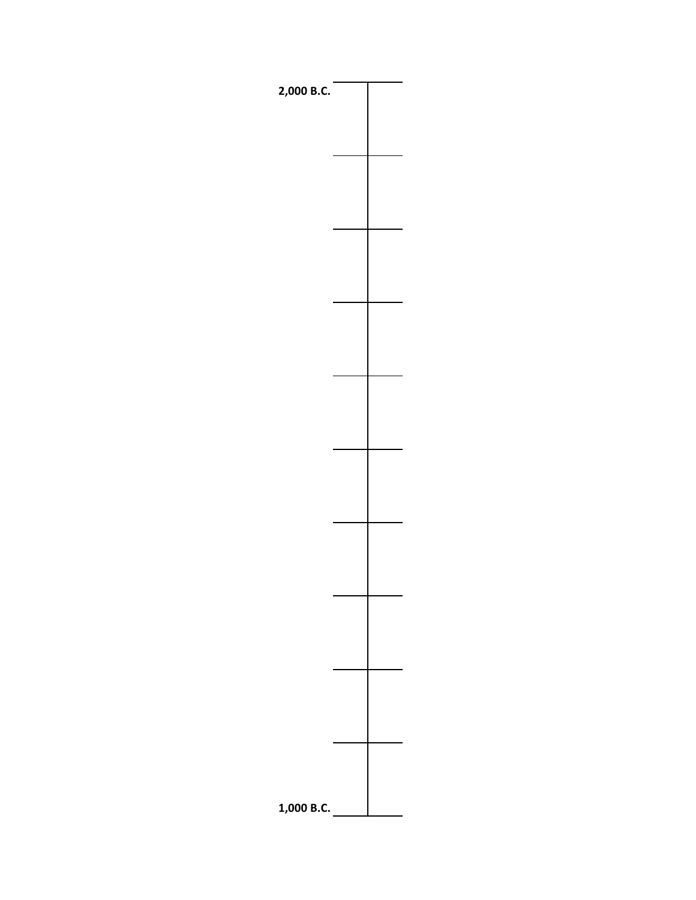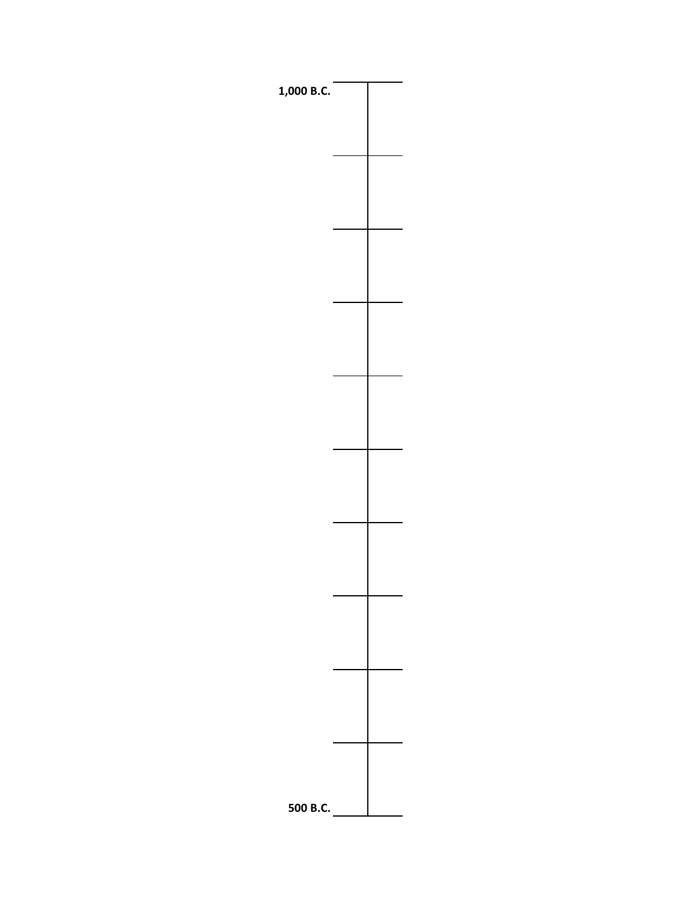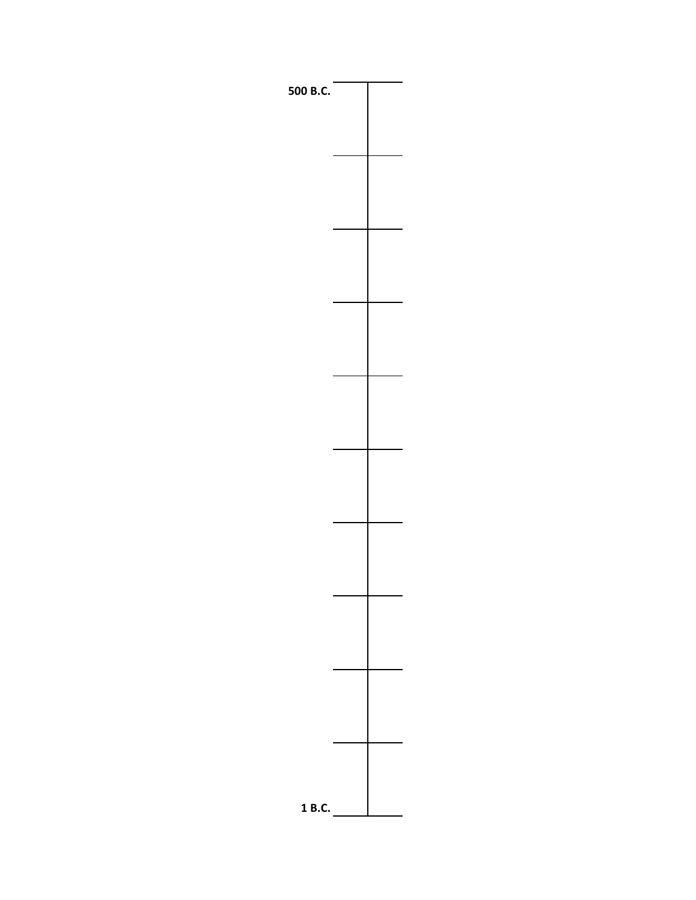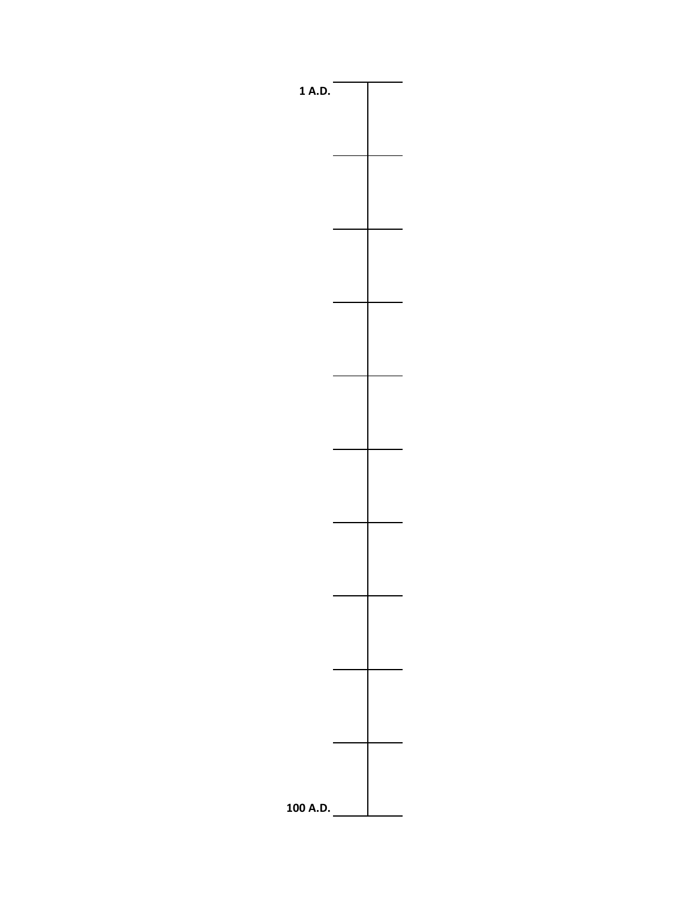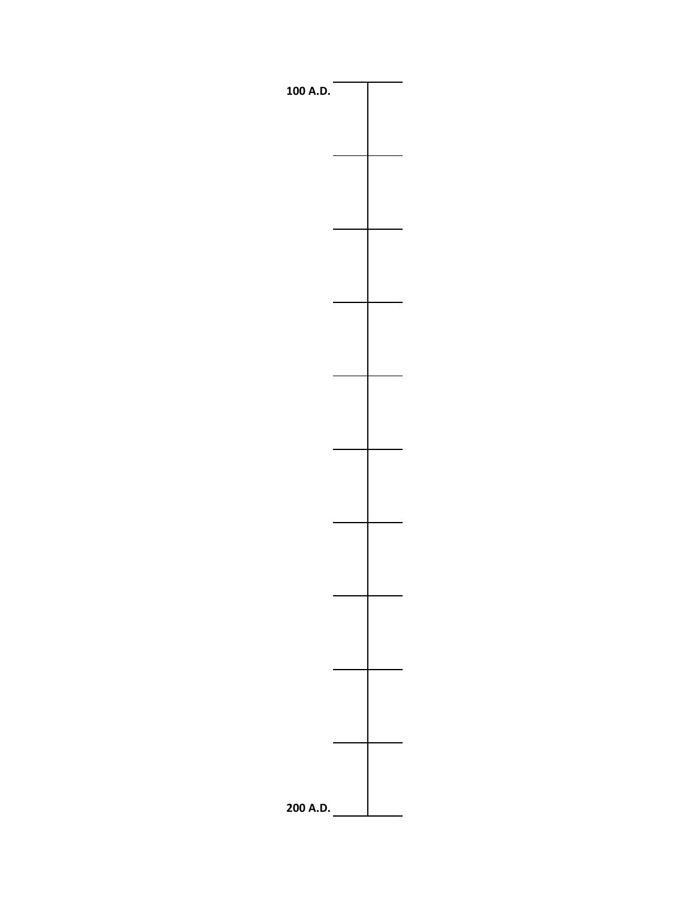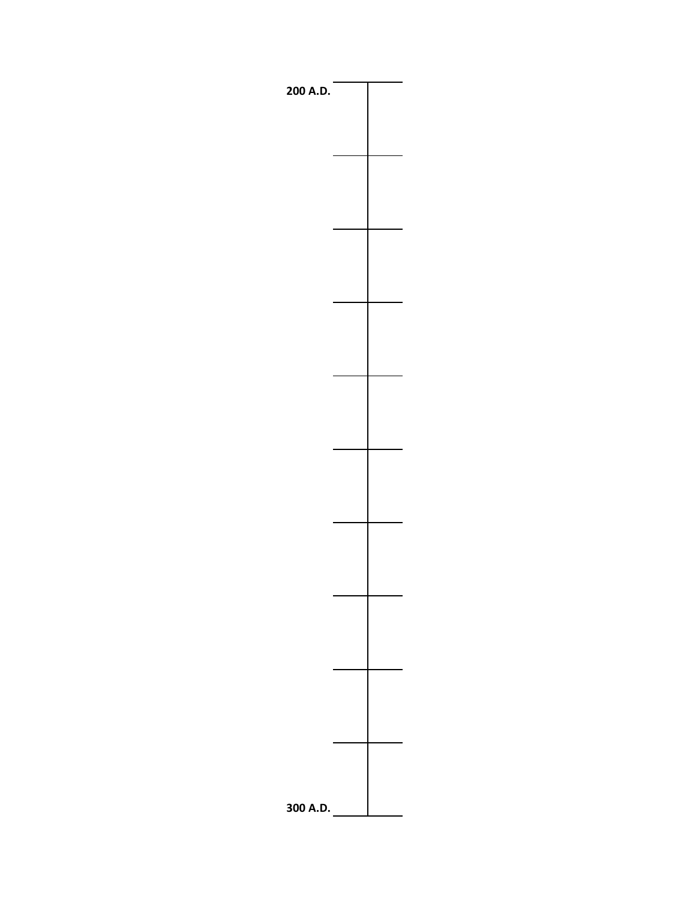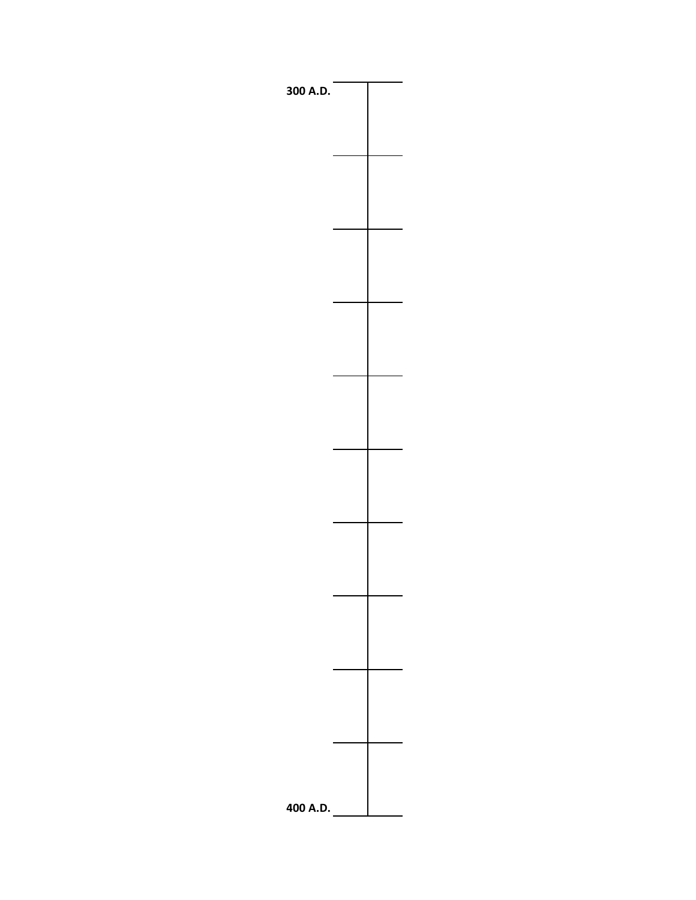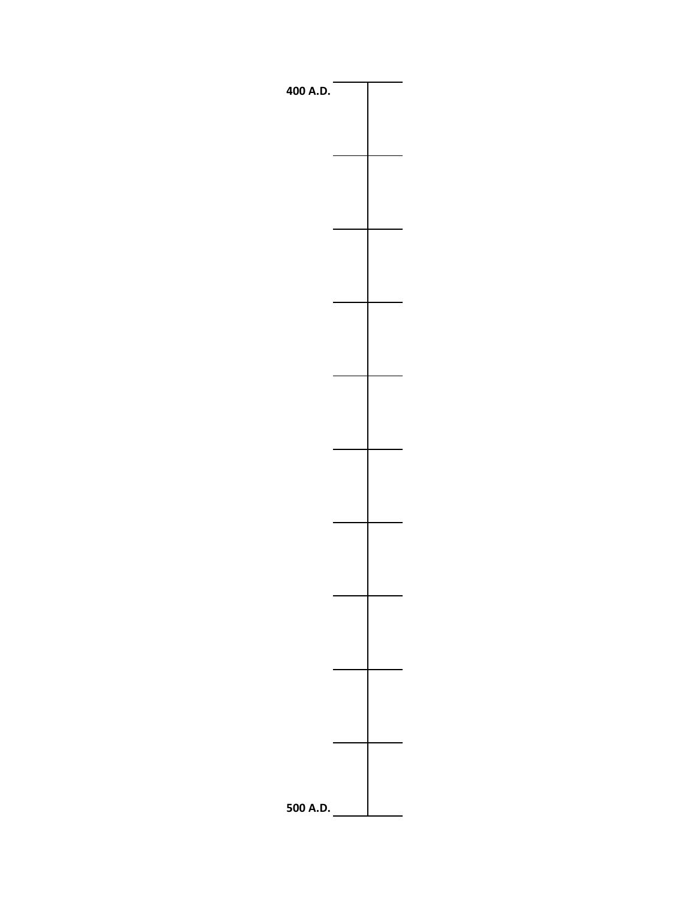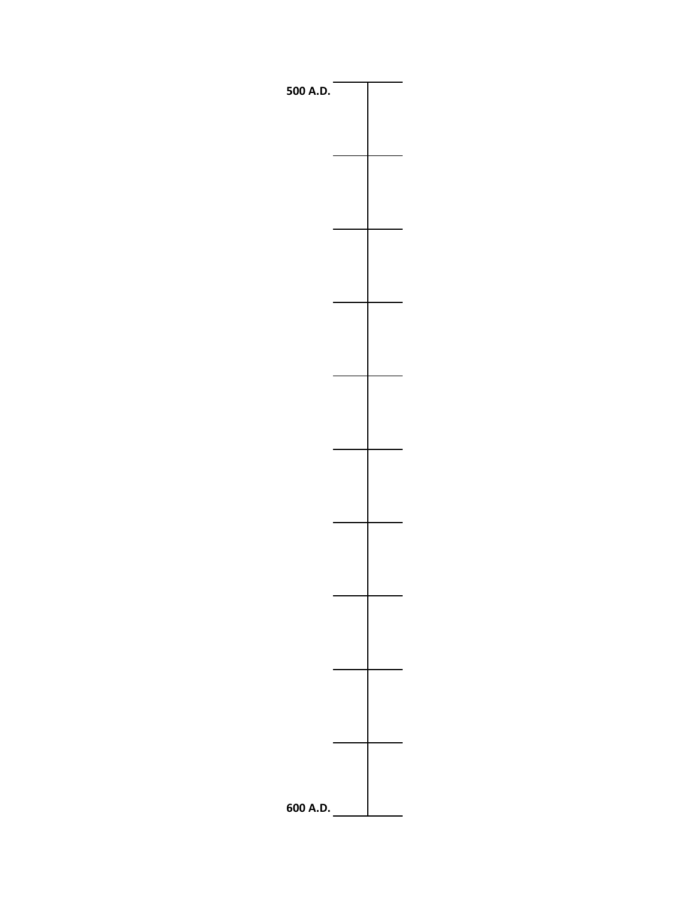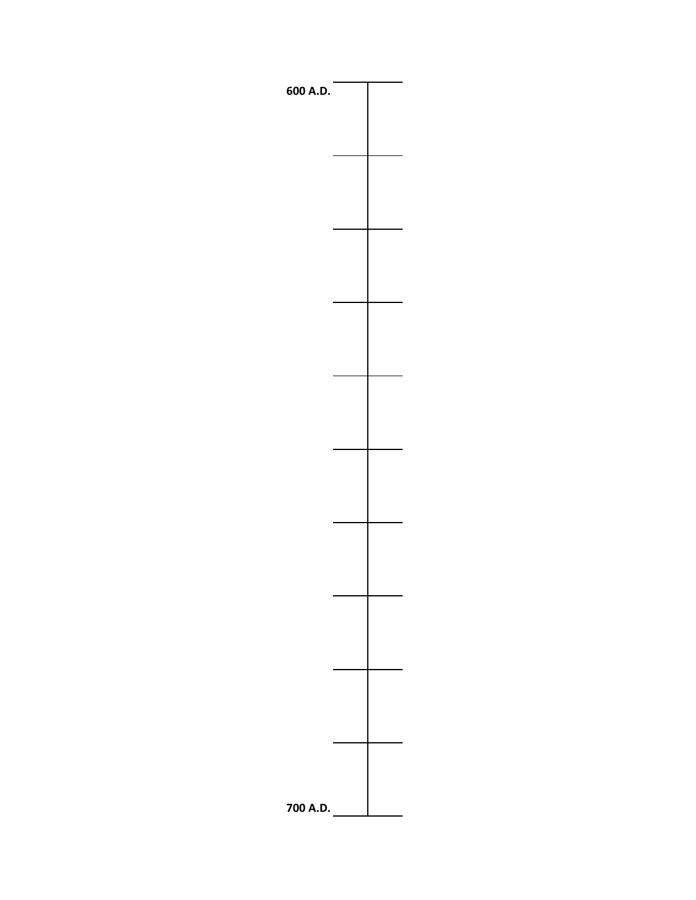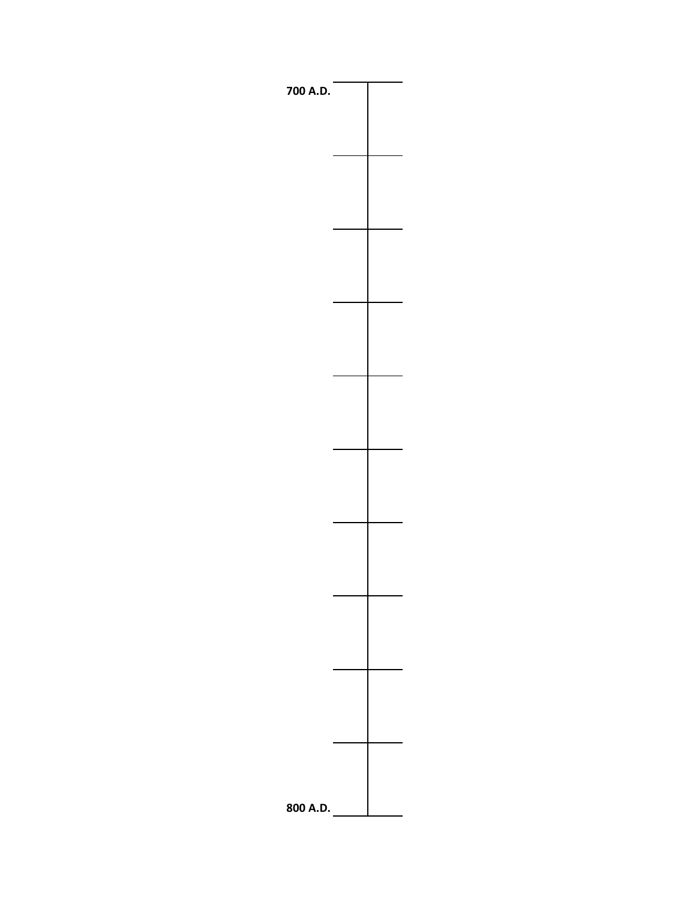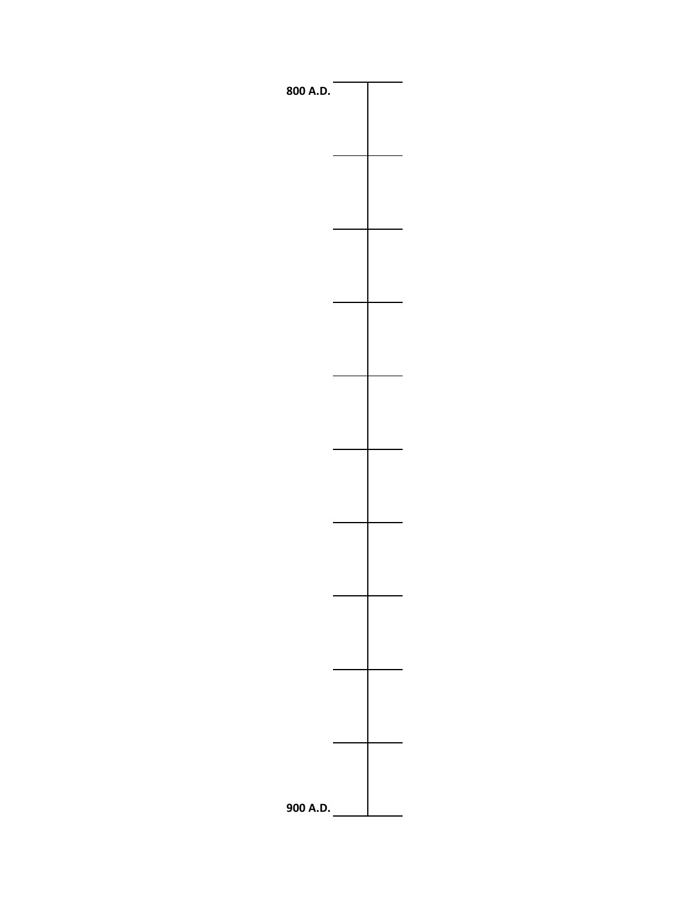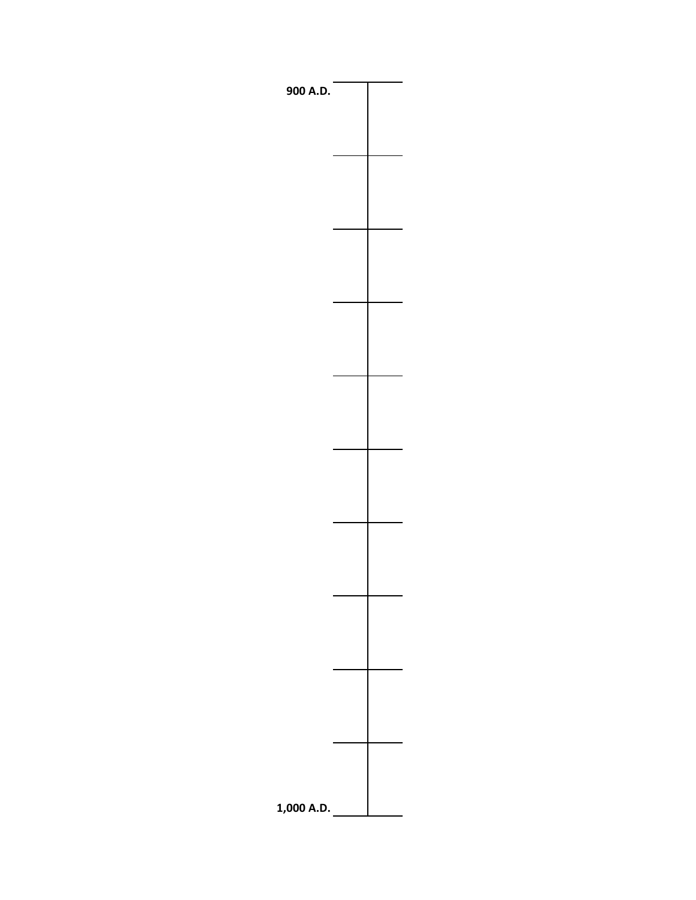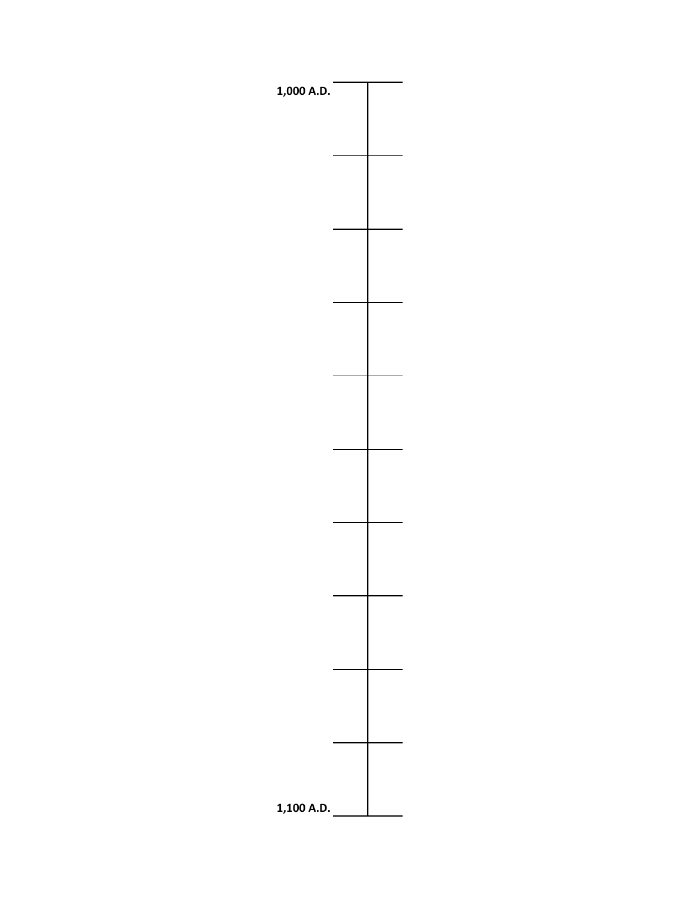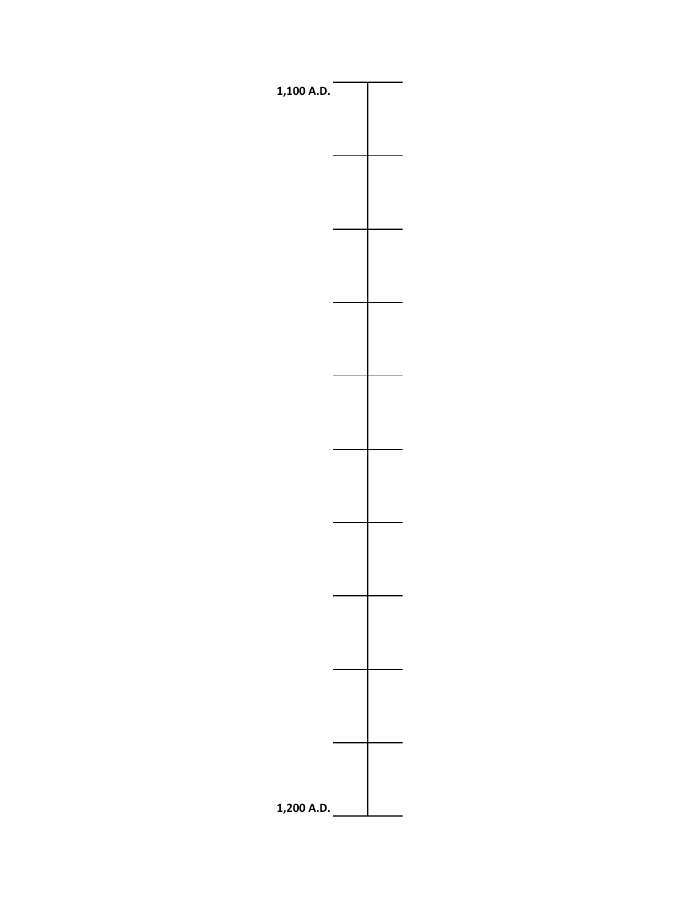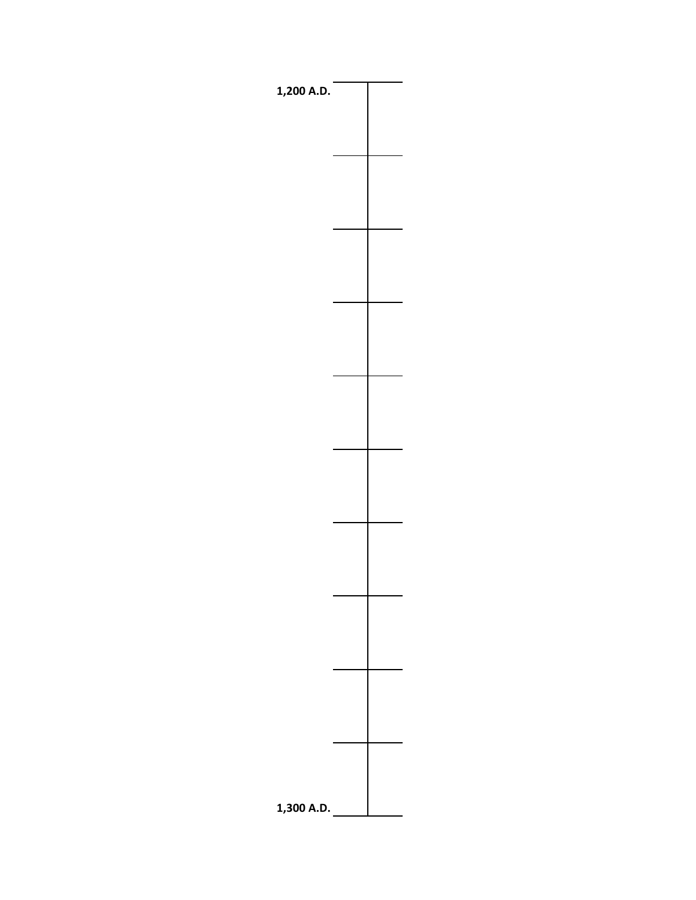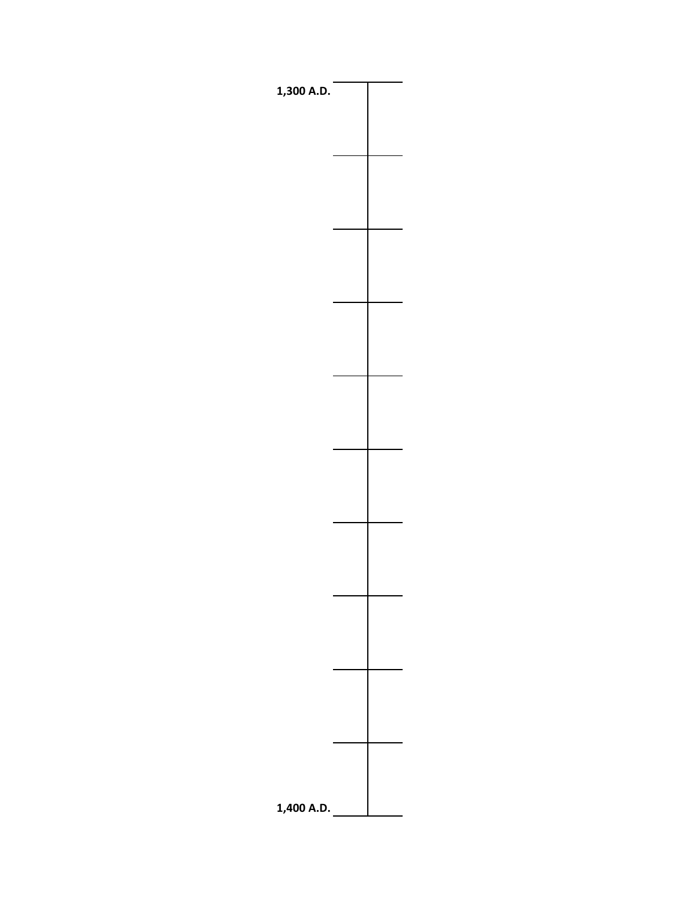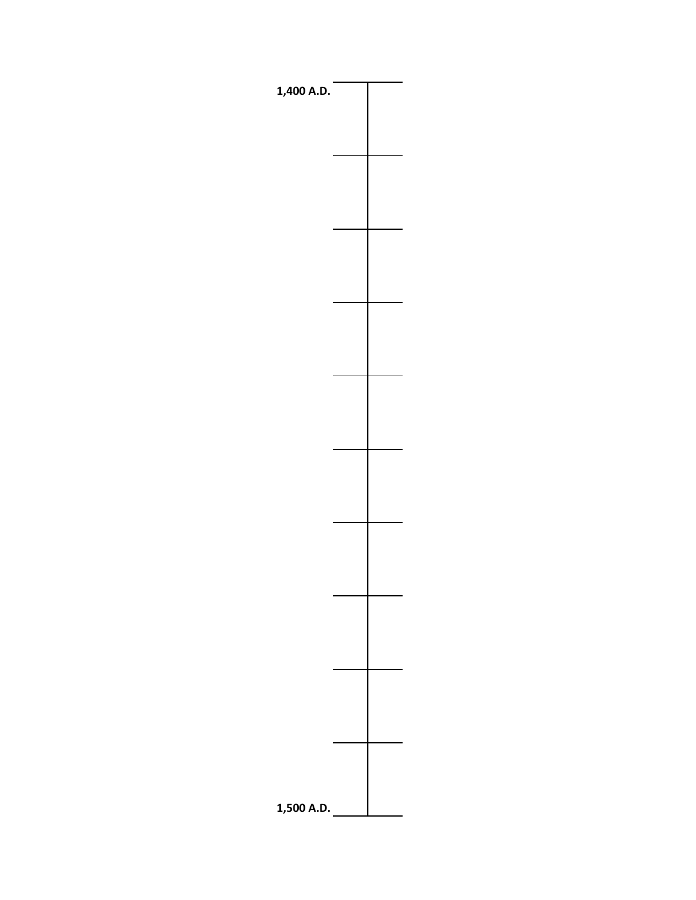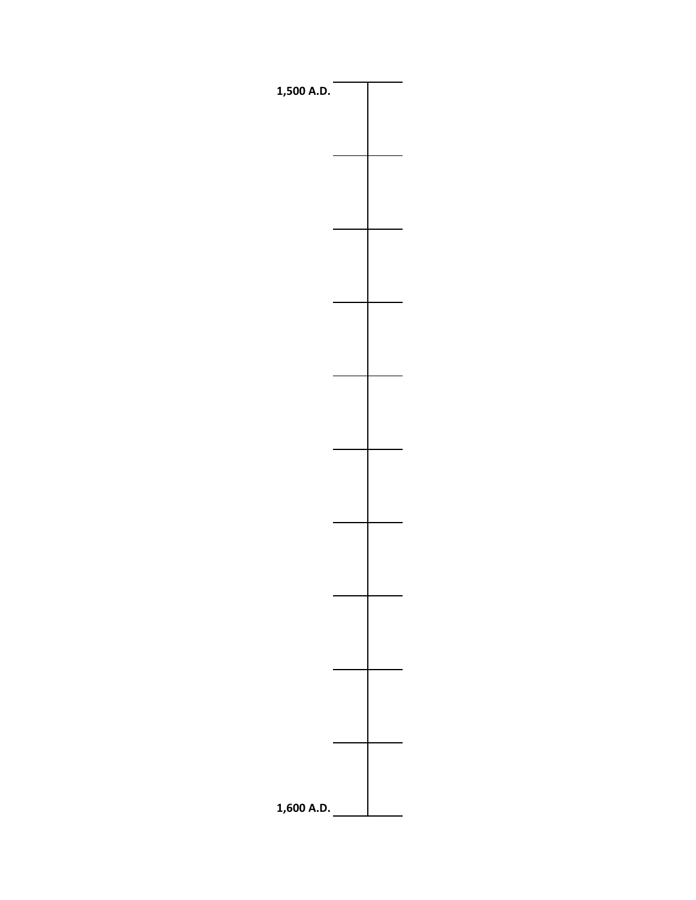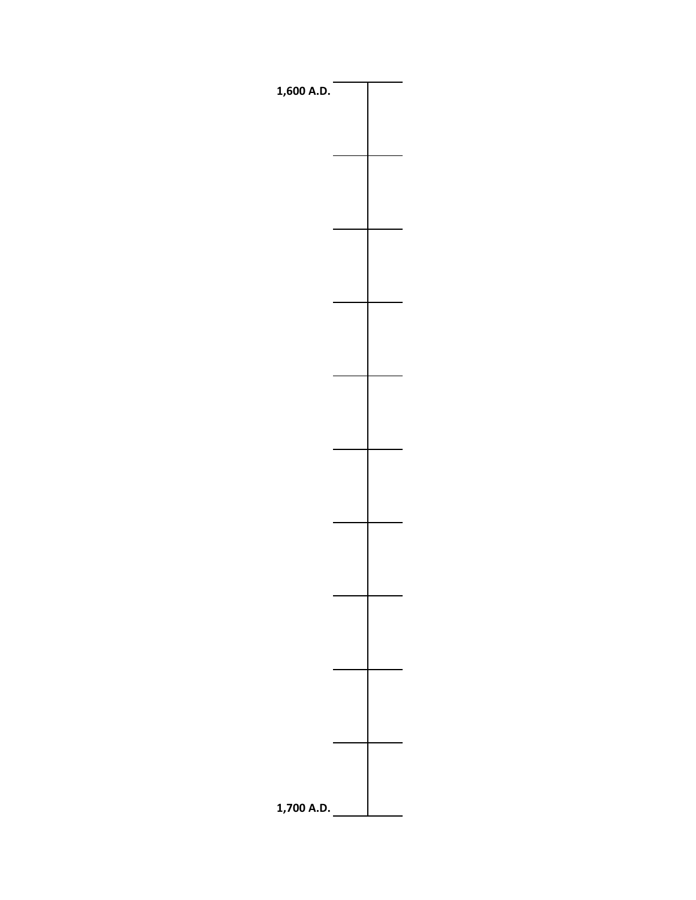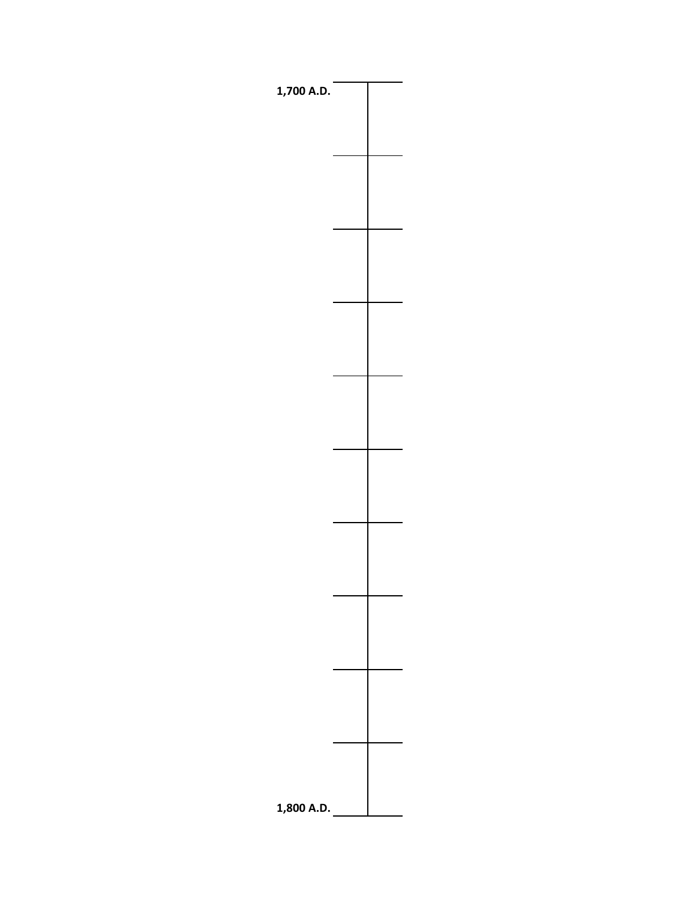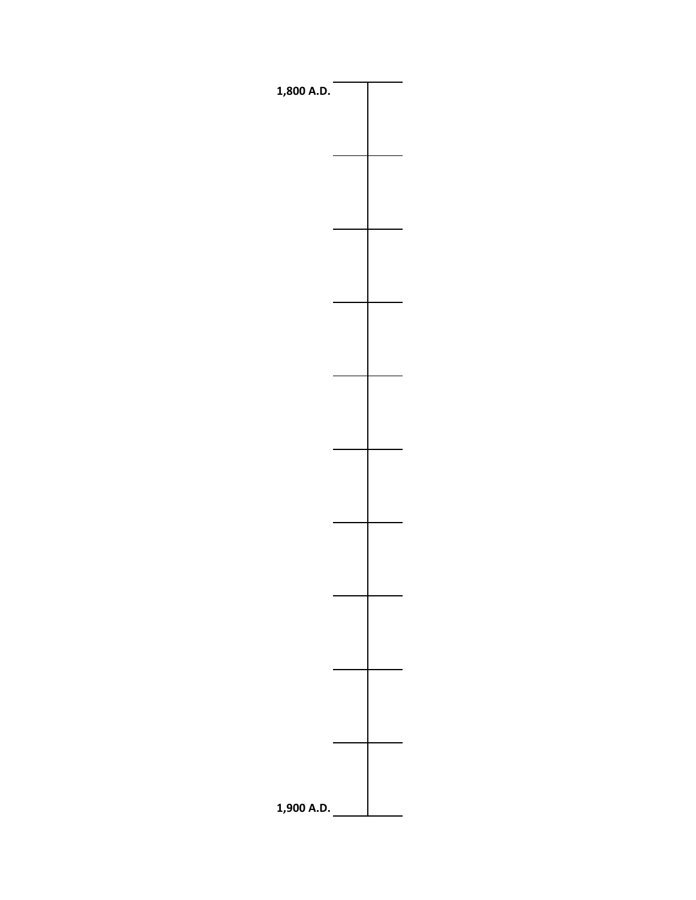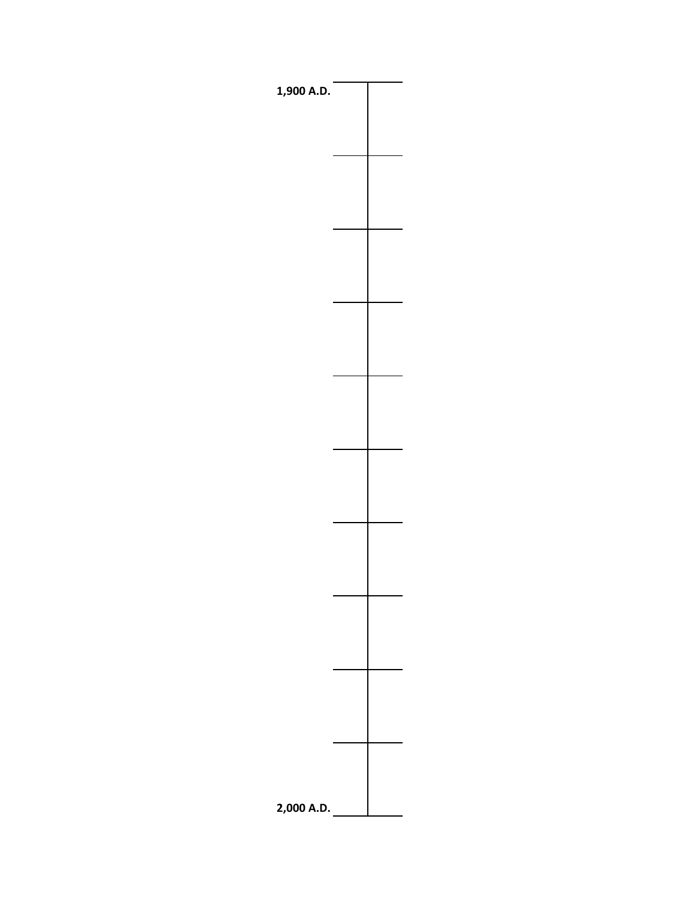